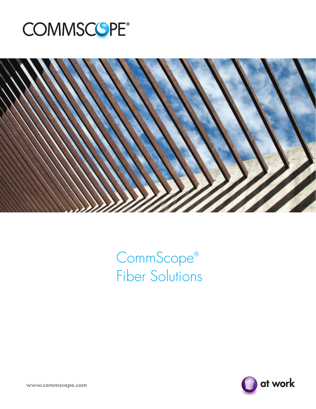



CommScope® Fiber Solutions



**www.commscope.com**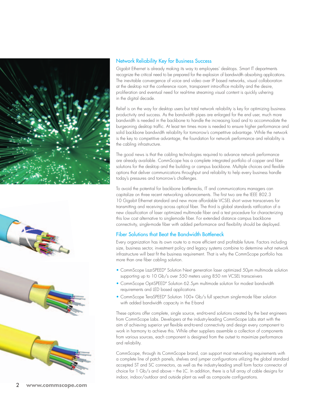



## Network Reliability Key for Business Success

Gigabit Ethernet is already making its way to employees' desktops. Smart IT departments recognize the critical need to be prepared for the explosion of bandwidth absorbing applications. The inevitable convergence of voice and video over IP based networks, visual collaboration at the desktop not the conference room, transparent intra-office mobility and the desire, proliferation and eventual need for real-time streaming visual content is quickly ushering in the digital decade.

Relief is on the way for desktop users but total network reliability is key for optimizing business productivity and success. As the bandwidth pipes are enlarged for the end user, much more bandwidth is needed in the backbone to handle the increasing load and to accommodate the burgeoning desktop traffic. At least ten times more is needed to ensure higher performance and solid backbone bandwidth reliability for tomorrow's competitive advantage. While the network is the key to competitive advantage, the foundation for network performance and reliability is the cabling infrastructure.

The good news is that the cabling technologies required to advance network performance are already available. CommScope has a complete integrated portfolio of copper and fiber solutions for the desktop and the building or campus backbone. Multiple choices and flexible options that deliver communications throughput and reliability to help every business handle today's pressures and tomorrow's challenges.

To avoid the potential for backbone bottlenecks, IT and communications managers can capitalize on three recent networking advancements. The first two are the IEEE 802.3 10 Gigabit Ethernet standard and new more affordable VCSEL short wave transceivers for transmitting and receiving across optical fiber. The third is global standards ratification of a new classification of laser optimized multimode fiber and a test procedure for characterizing this low cost alternative to singlemode fiber. For extended distance campus backbone connectivity, single-mode fiber with added performance and flexibility should be deployed.

# Fiber Solutions that Beat the Bandwidth Bottleneck

Every organization has its own route to a more efficient and profitable future. Factors including size, business sector, investment policy and legacy systems combine to determine what network infrastructure will best fit the business requirement. That is why the CommScope portfolio has more than one fiber cabling solution.

- CommScope LazrSPEED® Solution Next generation laser optimized 50µm multimode solution supporting up to 10 Gb/s over 550 meters using 850 nm VCSEL transceivers
- CommScope OptiSPEED® Solution 62.5µm multimode solution for modest bandwidth requirements and LED based applications
- CommScope TeraSPEED® Solution 100+ Gb/s tull spectrum single-mode tiber solution with added bandwidth capacity in the E-band

These options offer complete, single source, end-to-end solutions created by the best engineers from CommScope Labs. Developers at the industry-leading CommScope Labs start with the aim of achieving superior yet flexible end-to-end connectivity and design every component to work in harmony to achieve this. While other suppliers assemble a collection of components from various sources, each component is designed from the outset to maximize performance and reliability.

CommScope, through its CommScope brand, can support most networking requirements with a complete line of patch panels, shelves and jumper configurations utilizing the global standard accepted ST and SC connectors, as well as the industry-leading small form factor connector of choice for 1 Gb/s and above – the LC. In addition, there is a full array of cable designs for indoor, indoor/outdoor and outside plant as well as composite configurations.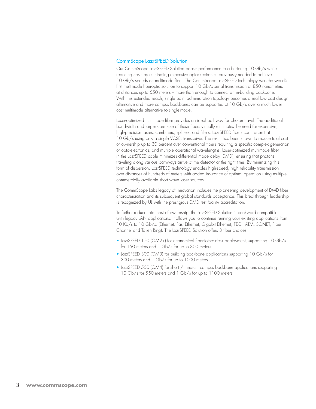#### CommScope LazrSPEED Solution

Our CommScope LazrSPEED Solution boosts performance to a blistering 10 Gb/s while reducing costs by eliminating expensive opto-electronics previously needed to achieve 10 Gb/s speeds on multimode fiber. The CommScope LazrSPEED technology was the world's first multimode fiberoptic solution to support 10 Gb/s serial transmission at 850 nanometers at distances up to 550 meters – more than enough to connect an in-building backbone. With this extended reach, single point administration topology becomes a real low cost design alternative and more campus backbones can be supported at 10 Gb/s over a much lower cost multimode alternative to single-mode.

Laser-optimized multimode fiber provides an ideal pathway for photon travel. The additional bandwidth and larger core size of these fibers virtually eliminates the need for expensive, high-precision lasers, combiners, splitters, and filters. LazrSPEED fibers can transmit at 10 Gb/s using only a single VCSEL transceiver. The result has been shown to reduce total cost of ownership up to 30 percent over conventional fibers requiring a specific complex generation of opto-electronics, and multiple operational wavelengths. Laser-optimized multimode fiber in the LazrSPEED cable minimizes differential mode delay (DMD), ensuring that photons traveling along various pathways arrive at the detector at the right time. By minimizing this form of dispersion, LazrSPEED technology enables high-speed, high reliability transmission over distances of hundreds of meters with added insurance of optimal operation using multiple commercially available short wave laser sources.

The CommScope Labs legacy of innovation includes the pioneering development of DMD fiber characterization and its subsequent global standards acceptance. This breakthrough leadership is recognized by UL with the prestigious DMD test facility accreditation.

To further reduce total cost of ownership, the LazrSPEED Solution is backward compatible with legacy LAN applications. It allows you to continue running your existing applications from 10 Kb/s to 10 Gb/s. (Ethernet, Fast Ethernet, Gigabit Ethernet, FDDI, ATM, SONET, Fiber Channel and Token Ring). The LazrSPEED Solution offers 3 fiber choices:

- LazrSPEED 150 (OM2+) for economical fiber-tothe- desk deployment, supporting 10 Gb/s for 150 meters and 1 Gb/s for up to 800 meters
- LazrSPEED 300 (OM3) for building backbone applications supporting 10 Gb/s for 300 meters and 1 Gb/s for up to 1000 meters
- LazrSPEED 550 (OM4) for short / medium campus backbone applications supporting 10 Gb/s for 550 meters and 1 Gb/s for up to 1100 meters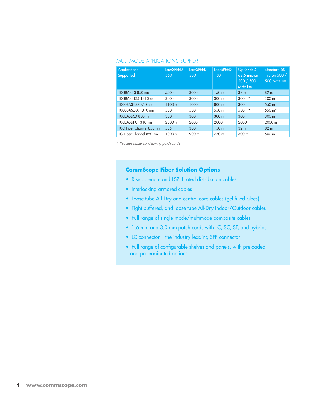## Multimode Applications Support

| <b>Applications</b><br>Supported | LazrSPEED<br>550 | LazrSPEED<br>300 | LazrSPEED<br>150 | <b>OptiSPEED</b><br>$62.5$ micron<br>200 / 500<br>MHz.km | Standard 50<br>micron 500 /<br>500 MHz.km |
|----------------------------------|------------------|------------------|------------------|----------------------------------------------------------|-------------------------------------------|
| 10GBASE-S 850 nm                 | 550 m            | 300 <sub>m</sub> | 150 <sub>m</sub> | 32 <sub>m</sub>                                          | 82 <sub>m</sub>                           |
| 10GBASE-LX4 1310 nm              | 300 <sub>m</sub> | 300 <sub>m</sub> | 300 <sub>m</sub> | $300 m*$                                                 | 300 <sub>m</sub>                          |
| 1000BASE-SX 850 nm               | 1100 m           | 1000 m           | 800 m            | 300 m                                                    | 550 m                                     |
| 1000BASE-LX 1310 nm              | 550 m            | 550 m            | 550 m            | 550 $m*$                                                 | 550 m*                                    |
| 100BASE-SX 850 nm                | 300 <sub>m</sub> | 300 m            | 300 <sub>m</sub> | 300 <sub>m</sub>                                         | 300 <sub>m</sub>                          |
| 100BASE-FX 1310 nm               | 2000 m           | 2000 m           | 2000 m           | 2000 m                                                   | 2000 m                                    |
| 10G Fiber Channel 850 nm         | 535 m            | 300 m            | 150 <sub>m</sub> | 32 <sub>m</sub>                                          | 82 <sub>m</sub>                           |
| 1G Fiber Channel 850 nm          | 1000 m           | 900 m            | 750 m            | 300 <sub>m</sub>                                         | 500 m                                     |

*\* Requires mode conditioning patch cords*

## **CommScope Fiber Solution Options**

- Riser, plenum and LSZH rated distribution cables
- Interlocking armored cables
- Loose tube All-Dry and central core cables (gel filled tubes)
- • Tight buffered, and loose tube All-Dry Indoor/Outdoor cables
- • Full range of single-mode/multimode composite cables
- 1.6 mm and 3.0 mm patch cords with LC, SC, ST, and hybrids
- LC connector the industry-leading SFF connector
- Full range of configurable shelves and panels, with preloaded and preterminated options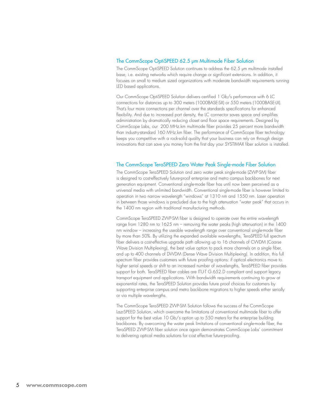### The CommScope OptiSPEED 62.5 µm Multimode Fiber Solution

The CommScope OptiSPEED Solution continues to address the 62.5 µm multimode installed base, i.e. existing networks which require change or significant extensions. In addition, it focuses on small to medium sized organizations with moderate bandwidth requirements running LED based applications.

Our CommScope OptiSPEED Solution delivers certified 1 Gb/s performance with 6 LC connections for distances up to 300 meters (1000BASE-SX) or 550 meters (1000BASE-LX). That's four more connections per channel over the standards specifications for enhanced flexibility. And due to increased port density, the LC connector saves space and simplifies administration by dramatically reducing closet and floor space requirements. Designed by CommScope Labs, our 200 MHz.km multimode fiber provides 25 percent more bandwidth than industry-standard 160 MHz.km fiber. The performance of CommScope fiber technology keeps you competitive with a rock-solid quality that your business can rely on through design innovations that can save you money from the first day your SYSTIMAX fiber solution is installed.

### The CommScope TeraSPEED Zero Water Peak Single-mode Fiber Solution

The CommScope TeraSPEED Solution and zero water peak single-mode (ZWP-SM) fiber is designed to cost-effectively future-proof enterprise and metro campus backbones for next generation equipment. Conventional single-mode fiber has until now been perceived as a universal media with unlimited bandwidth. Conventional single-mode fiber is however limited to operation in two narrow wavelength "windows" at 1310 nm and 1550 nm. Laser operation in between those windows is precluded due to the high attenuation "water peak" that occurs in the 1400 nm region with traditional manufacturing methods.

CommScope TeraSPEED ZWP-SM fiber is designed to operate over the entire wavelength range from 1280 nm to 1625 nm – removing the water peaks (high attenuation) in the 1400 nm window – increasing the useable wavelength range over conventional single-mode fiber by more than 50%. By utilizing the expanded available wavelengths, TeraSPEED full spectrum fiber delivers a cost-effective upgrade path allowing up to 16 channels of CWDM (Coarse Wave Division Multiplexing), the best value option to pack more channels on a single fiber, and up to 400 channels of DWDM (Dense Wave Division Multiplexing). In addition, this full spectrum fiber provides customers with future proofing options: if optical electronics move to higher serial speeds or shift to an increased number of wavelengths, TeraSPEED fiber provides support for both. TeraSPEED fiber cables are ITU-T G.652.D compliant and support legacy transport equipment and applications. With bandwidth requirements continuing to grow at exponential rates, the TeraSPEED Solution provides future proof choices for customers by supporting enterprise campus and metro backbone migrations to higher speeds either serially or via multiple wavelengths.

The CommScope TeraSPEED ZWP-SM Solution follows the success of the CommScope LazrSPEED Solution, which overcame the limitations of conventional multimode fiber to offer support for the best value 10 Gb/s option up to 550 meters for the enterprise building backbones. By overcoming the water peak limitations of conventional single-mode fiber, the TeraSPEED ZWP-SM fiber solution once again demonstrates CommScope Labs' commitment to delivering optical media solutions for cost effective future-proofing.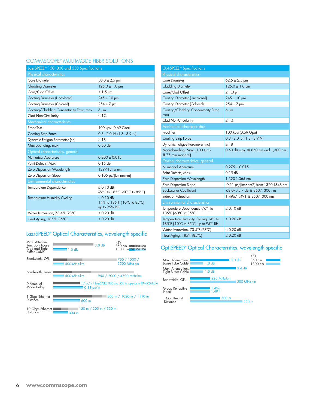## COMMSCOPE® MULTIMODE FIBER SC

| LazrSPEED® 150, 300 and 550 Specifications |                                                              |  |  |  |
|--------------------------------------------|--------------------------------------------------------------|--|--|--|
| Physical characteristics                   |                                                              |  |  |  |
| Core Diameter                              | $50.0 \pm 2.5$ µm                                            |  |  |  |
| <b>Cladding Diameter</b>                   | $125.0 \pm 1.0 \,\text{µm}$                                  |  |  |  |
| Core/Clad Offset                           | $\leq 1.5$ µm                                                |  |  |  |
| <b>Coating Diameter (Uncolored)</b>        | $245 \pm 10$ µm                                              |  |  |  |
| Coating Diameter (Colored)                 | $254 \pm 7$ µm                                               |  |  |  |
| Coating/Cladding Concentricity Error, max  | $6 \mu m$                                                    |  |  |  |
| Clad Non-Circularity                       | $\leq 1\%$                                                   |  |  |  |
| <b>Mechanical characteristics</b>          |                                                              |  |  |  |
| Proof Test                                 | 100 kpsi (0.69 Gpa)                                          |  |  |  |
| <b>Coating Strip Force</b>                 | $0.3 - 2.0$ lbf $(1.3 - 8.9)$ N)                             |  |  |  |
| Dynamic Fatigue Parameter (nd)             | >18                                                          |  |  |  |
| Macrobending, max.                         | $0.50$ dB                                                    |  |  |  |
| Optical characteristics, general           |                                                              |  |  |  |
| <b>Numerical Aperature</b>                 | $0.200 \pm 0.015$                                            |  |  |  |
| Point Defects, Max.                        | 0.15dB                                                       |  |  |  |
| Zero Dispersion Wavelength                 | 1297-1316 nm                                                 |  |  |  |
| Zero Dispersion Slope                      | $0.105$ ps/[km-nm-nm]                                        |  |  |  |
| <b>Environmental characteristics</b>       |                                                              |  |  |  |
| Temperature Dependence                     | $< 0.10$ dB<br>-76°F to 185°F (-60°C to 85°C)                |  |  |  |
| <b>Temperature Humidity Cycling</b>        | $< 0.10$ dB<br>14°F to 185°F (-10°C to 85°C)<br>up to 95% RH |  |  |  |
| Water Immersion, 73.4°F (23°C)             | $< 0.20$ dB                                                  |  |  |  |
| Heat Aging, 185°F (85°C)                   | $\leq$ 0.20 dB                                               |  |  |  |

## LazrSPEED® Optical Characteristics, wavelength specific

| Max. Attenua-<br>tion, both Loose<br>Tube and Tight<br>Buffer Cable | 1.0dB            | 3.0dB                       | KEY<br>850 nm<br>150 300 550<br>1300 nm 150 300 550            |
|---------------------------------------------------------------------|------------------|-----------------------------|----------------------------------------------------------------|
| Bandwidth, OFL                                                      | 500 MHz-km       |                             | 1700 / 1500 /<br>3500 MHz-km                                   |
| Bandwidth, Laser                                                    | 500 MHz-km       |                             | 950 / 2000 / 4700 MHz-km                                       |
| Differential<br>Mode Delay                                          | $0.88$ ps/m      |                             | ■ 0.7 ps/m / LazrSPEED 300 and 550 is superior to TIA-492AAC-A |
| 1 Gbps Ethernet<br>Distance                                         | 600 m            |                             | 800 m / 1020 m / 1110 m                                        |
| 10 Gbps Ethernet<br><b>Distance</b>                                 | 300 <sub>m</sub> | $150$ m $/$ 300 m $/$ 550 m |                                                                |

| OptiSPEED <sup>®</sup> Specifications                                      |                                    |  |  |  |
|----------------------------------------------------------------------------|------------------------------------|--|--|--|
| Physical characteristics                                                   |                                    |  |  |  |
| Core Diameter                                                              | $62.5 \pm 2.5 \text{ µm}$          |  |  |  |
| <b>Cladding Diameter</b>                                                   | $125.0 \pm 1.0 \,\text{µm}$        |  |  |  |
| Core/Clad Offset                                                           | $\leq 1.0$ µm                      |  |  |  |
| <b>Coating Diameter (Uncolored)</b>                                        | $245 \pm 10$ µm                    |  |  |  |
| Coating Diameter (Colored)                                                 | $254 \pm 7$ µm                     |  |  |  |
| Coating/Cladding Concentricity Error,                                      | $6 \mu m$                          |  |  |  |
| max                                                                        |                                    |  |  |  |
| Clad Non-Circularity                                                       | $\leq 1\%$                         |  |  |  |
| <b>Mechanical characteristics</b>                                          |                                    |  |  |  |
| Proof Test                                                                 | 100 kpsi (0.69 Gpa)                |  |  |  |
| <b>Coating Strip Force</b>                                                 | $0.3 - 2.0$ lbf $(1.3 - 8.9$ N)    |  |  |  |
| Dynamic Fatigue Parameter (nd)                                             | >18                                |  |  |  |
| Macrobending, Max. (100 turns<br>@75 mm mandrel)                           | 0.50 dB max. @ 850 nm and 1,300 nm |  |  |  |
| Optical characteristics, general                                           |                                    |  |  |  |
| <b>Numerical Aperature</b>                                                 | $0.275 \pm 0.015$                  |  |  |  |
| Point Defects, Max.                                                        | 0.15dB                             |  |  |  |
| Zero Dispersion Wavelength                                                 | 1,320-1,365 nm                     |  |  |  |
| Zero Dispersion Slope                                                      | 0.11 ps/[km•nm2] from 1320-1348 nm |  |  |  |
| <b>Backscatter Coefficient</b>                                             | -68.0/-75.7 dB @ 850/1300 nm       |  |  |  |
| Index of Refraction                                                        | 1.496/1.491 @ 850/1300 nm          |  |  |  |
| <b>Environmental characteristics</b>                                       |                                    |  |  |  |
| Temperature Dependence -76°F to<br>185°F (-60°C to 85°C)                   | $\leq$ 0.10 dB                     |  |  |  |
| Temperature Humidity Cycling 14°F to<br>185°F (-10°C to 85°C) up to 95% RH | $< 0.20$ dB                        |  |  |  |
| Water Immersion, 73.4°F (23°C)                                             | $< 0.20$ dB                        |  |  |  |
| Heat Aging, 185°F (85°C)                                                   | $\leq$ 0.20 dB                     |  |  |  |

#### OptiSPEED® Optical Characteristics, wavelength specific

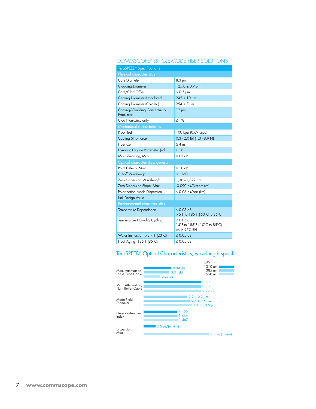### COMMSCOPE® SINGLE-MODE FIBER SC

| <b>TeraSPEED®</b> Specifications             |                                                                 |  |  |  |
|----------------------------------------------|-----------------------------------------------------------------|--|--|--|
| Physical characteristics                     |                                                                 |  |  |  |
| Core Diameter                                | $8.3 \mu m$                                                     |  |  |  |
| <b>Cladding Diameter</b>                     | $125.0 \pm 0.7$ µm                                              |  |  |  |
| Core/Clad Offset                             | $\leq 0.5$ µm                                                   |  |  |  |
| <b>Coating Diameter (Uncolored)</b>          | $245 \pm 10$ µm                                                 |  |  |  |
| Coating Diameter (Colored)                   | $254 \pm 7$ µm                                                  |  |  |  |
| Coating/Cladding Concentricity<br>Error, max | $12 \mu m$                                                      |  |  |  |
| Clad Non-Circularity                         | $\leq 1\%$                                                      |  |  |  |
| <b>Mechanical characteristics</b>            |                                                                 |  |  |  |
| Proof Test                                   | 100 kpsi (0.69 Gpa)                                             |  |  |  |
| <b>Coating Strip Force</b>                   | $0.3 - 2.0$ lbf $(1.3 - 8.9$ N)                                 |  |  |  |
| Fiber Curl                                   | >4 m                                                            |  |  |  |
| Dynamic Fatigue Parameter (nd)               | $\geq 18$                                                       |  |  |  |
| Macrobending, Max.                           | $0.05$ dB                                                       |  |  |  |
| Optical characteristics, general             |                                                                 |  |  |  |
| Point Defects, Max.                          | 0.10dB                                                          |  |  |  |
| Cut-off Wavelength                           | $\leq 1260$                                                     |  |  |  |
| Zero Dispersion Wavelength                   | 1,302-1,322 nm                                                  |  |  |  |
| Zero Dispersion Slope, Max.                  | $0.090$ ps/[km-nm-nm]                                           |  |  |  |
| Polarization Mode Dispersion                 | $\leq$ 0.06 ps/sqrt (km)                                        |  |  |  |
| <b>Link Design Value</b>                     |                                                                 |  |  |  |
| <b>Environmental characteristics</b>         |                                                                 |  |  |  |
| Temperature Dependence                       | $< 0.05$ dB<br>-76°F to 185°F (-60°C to 85°C)                   |  |  |  |
| Temperature Humidity Cycling                 | $\leq$ 0.05 dB<br>14°F to 185°F (-10°C to 85°C)<br>up to 95% RH |  |  |  |
| Water Immersion, 73.4°F (23°C)               | $< 0.05$ dB                                                     |  |  |  |
| Heat Aging, 185°F (85°C)                     | $< 0.05$ dB                                                     |  |  |  |

#### TeraSPEED® Optical Characteristics, wavelength specific